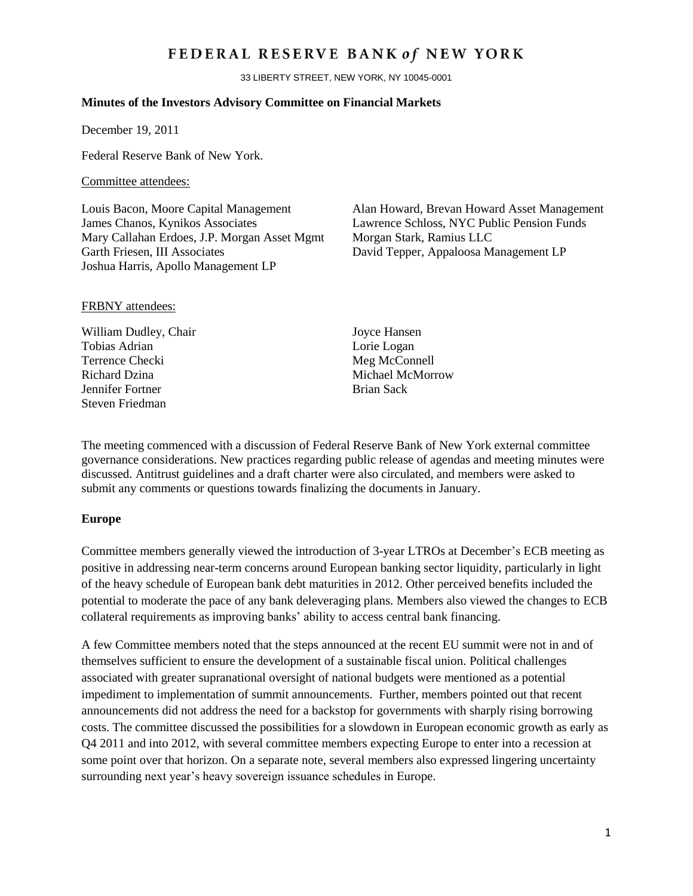## FEDERAL RESERVE BANK of NEW YORK

33 LIBERTY STREET, NEW YORK, NY 10045-0001

#### **Minutes of the Investors Advisory Committee on Financial Markets**

December 19, 2011

Federal Reserve Bank of New York.

#### Committee attendees:

James Chanos, Kynikos Associates Lawrence Schloss, NYC Public Pension Funds Mary Callahan Erdoes, J.P. Morgan Asset Mgmt Morgan Stark, Ramius LLC Garth Friesen, III Associates David Tepper, Appaloosa Management LP Joshua Harris, Apollo Management LP

Louis Bacon, Moore Capital Management Alan Howard, Brevan Howard Asset Management

### FRBNY attendees:

William Dudley, Chair Joyce Hansen Tobias Adrian Lorie Logan Terrence Checki Meg McConnell Richard Dzina Michael McMorrow **Jennifer Fortner** Brian Sack Steven Friedman

The meeting commenced with a discussion of Federal Reserve Bank of New York external committee governance considerations. New practices regarding public release of agendas and meeting minutes were discussed. Antitrust guidelines and a draft charter were also circulated, and members were asked to submit any comments or questions towards finalizing the documents in January.

#### **Europe**

Committee members generally viewed the introduction of 3-year LTROs at December's ECB meeting as positive in addressing near-term concerns around European banking sector liquidity, particularly in light of the heavy schedule of European bank debt maturities in 2012. Other perceived benefits included the potential to moderate the pace of any bank deleveraging plans. Members also viewed the changes to ECB collateral requirements as improving banks' ability to access central bank financing.

A few Committee members noted that the steps announced at the recent EU summit were not in and of themselves sufficient to ensure the development of a sustainable fiscal union. Political challenges associated with greater supranational oversight of national budgets were mentioned as a potential impediment to implementation of summit announcements. Further, members pointed out that recent announcements did not address the need for a backstop for governments with sharply rising borrowing costs. The committee discussed the possibilities for a slowdown in European economic growth as early as Q4 2011 and into 2012, with several committee members expecting Europe to enter into a recession at some point over that horizon. On a separate note, several members also expressed lingering uncertainty surrounding next year's heavy sovereign issuance schedules in Europe.